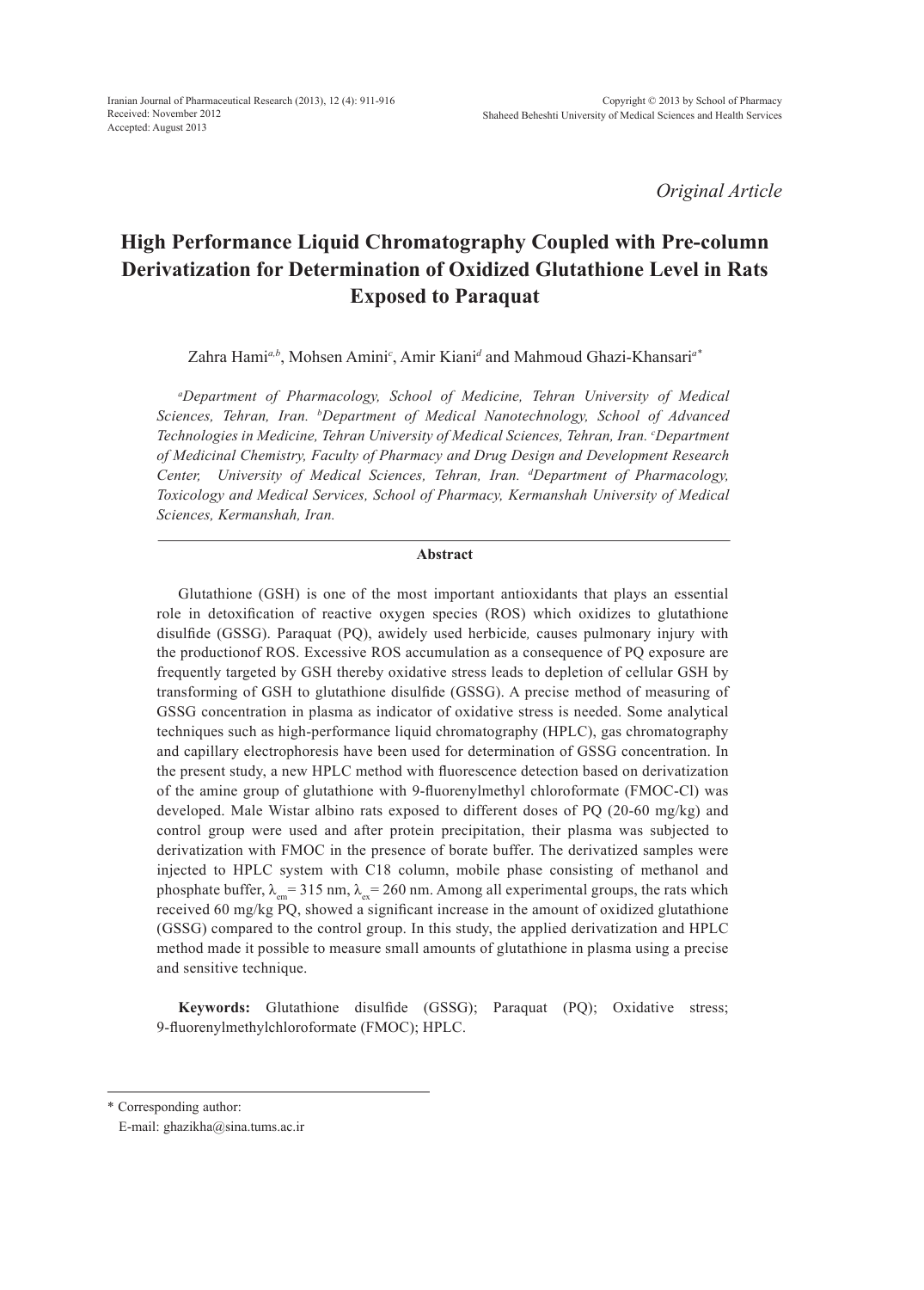*Original Article*

# **High Performance Liquid Chromatography Coupled with Pre-column Derivatization for Determination of Oxidized Glutathione Level in Rats Exposed to Paraquat**

Zahra Hami<sup>a,b</sup>, Mohsen Amini<sup>c</sup>, Amir Kiani<sup>d</sup> and Mahmoud Ghazi-Khansari<sup>a\*</sup>

*a Department of Pharmacology, School of Medicine, Tehran University of Medical Sciences, Tehran, Iran. b Department of Medical Nanotechnology, School of Advanced Technologies in Medicine, Tehran University of Medical Sciences, Tehran, Iran. c Department of Medicinal Chemistry, Faculty of Pharmacy and Drug Design and Development Research Center, University of Medical Sciences, Tehran, Iran. d Department of Pharmacology, Toxicology and Medical Services, School of Pharmacy, Kermanshah University of Medical Sciences, Kermanshah, Iran.*

#### **Abstract**

Glutathione (GSH) is one of the most important antioxidants that plays an essential role in detoxification of reactive oxygen species (ROS) which oxidizes to glutathione disulfide (GSSG). Paraquat (PQ), awidely used herbicide*,* causes pulmonary injury with the productionof ROS. Excessive ROS accumulation as a consequence of PQ exposure are frequently targeted by GSH thereby oxidative stress leads to depletion of cellular GSH by transforming of GSH to glutathione disulfide (GSSG). A precise method of measuring of GSSG concentration in plasma as indicator of oxidative stress is needed. Some analytical techniques such as high-performance liquid chromatography (HPLC), gas chromatography and capillary electrophoresis have been used for determination of GSSG concentration. In the present study, a new HPLC method with fluorescence detection based on derivatization of the amine group of glutathione with 9-fluorenylmethyl chloroformate (FMOC-Cl) was developed. Male Wistar albino rats exposed to different doses of PQ (20-60 mg/kg) and control group were used and after protein precipitation, their plasma was subjected to derivatization with FMOC in the presence of borate buffer. The derivatized samples were injected to HPLC system with C18 column, mobile phase consisting of methanol and phosphate buffer,  $\lambda_{em} = 315$  nm,  $\lambda_{ex} = 260$  nm. Among all experimental groups, the rats which received 60 mg/kg PQ, showed a significant increase in the amount of oxidized glutathione (GSSG) compared to the control group. In this study, the applied derivatization and HPLC method made it possible to measure small amounts of glutathione in plasma using a precise and sensitive technique.

**Keywords:** Glutathione disulfide (GSSG); Paraquat (PQ); Oxidative stress; 9-fluorenylmethylchloroformate (FMOC); HPLC.

\* Corresponding author:

E-mail: ghazikha@sina.tums.ac.ir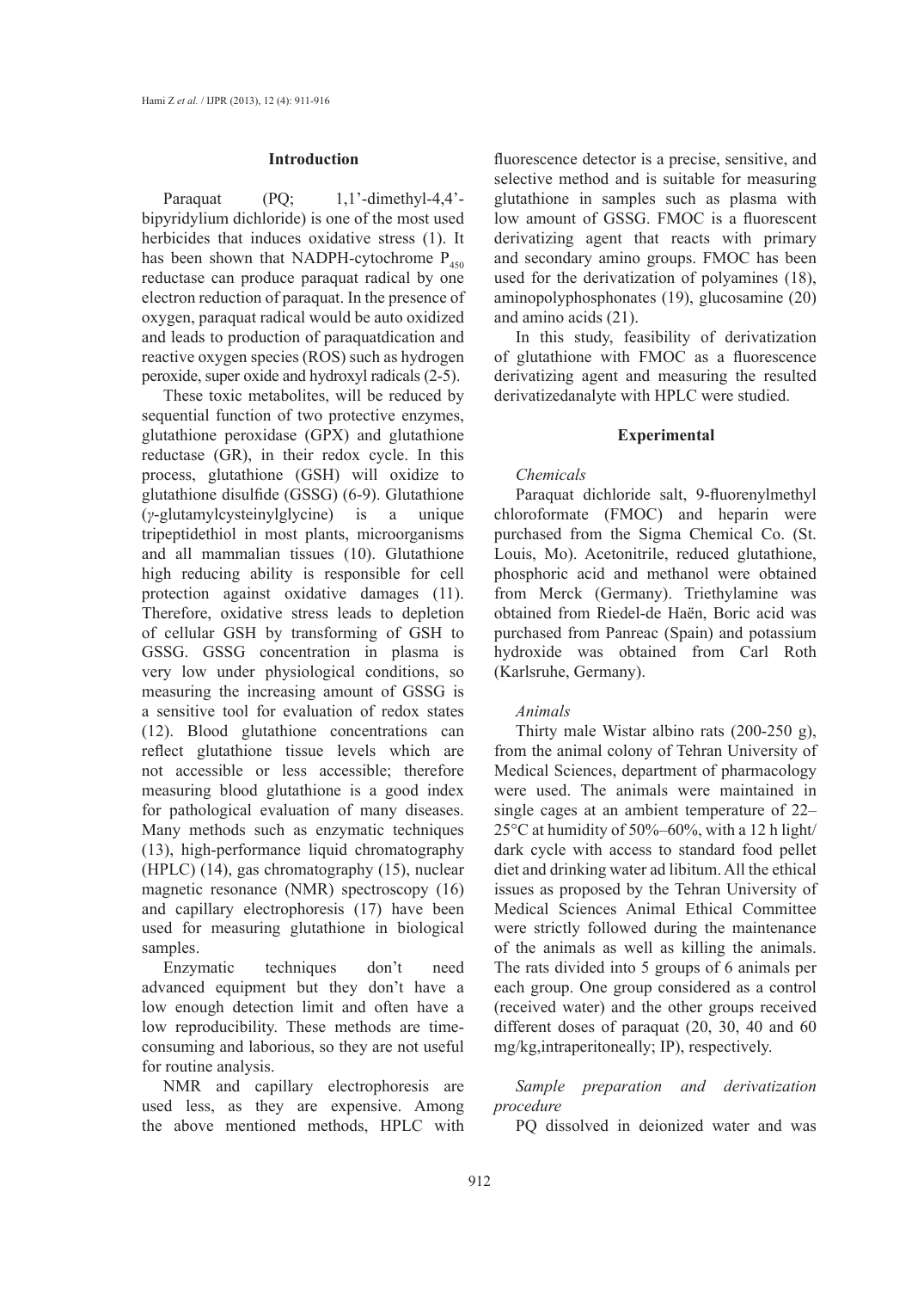#### **Introduction**

Paraquat  $(PQ; 1,1'-dimethyl-4,4'-1)$ bipyridylium dichloride) is one of the most used herbicides that induces oxidative stress (1). It has been shown that NADPH-cytochrome  $P_{450}$ reductase can produce paraquat radical by one electron reduction of paraquat. In the presence of oxygen, paraquat radical would be auto oxidized and leads to production of paraquatdication and reactive oxygen species (ROS) such as hydrogen peroxide, super oxide and hydroxyl radicals (2-5).

These toxic metabolites, will be reduced by sequential function of two protective enzymes, glutathione peroxidase (GPX) and glutathione reductase (GR), in their redox cycle. In this process, glutathione (GSH) will oxidize to glutathione disulfide (GSSG) (6-9). Glutathione (*γ*-glutamylcysteinylglycine) is a unique tripeptidethiol in most plants, microorganisms and all mammalian tissues (10). Glutathione high reducing ability is responsible for cell protection against oxidative damages (11). Therefore, oxidative stress leads to depletion of cellular GSH by transforming of GSH to GSSG. GSSG concentration in plasma is very low under physiological conditions, so measuring the increasing amount of GSSG is a sensitive tool for evaluation of redox states (12). Blood glutathione concentrations can reflect glutathione tissue levels which are not accessible or less accessible; therefore measuring blood glutathione is a good index for pathological evaluation of many diseases. Many methods such as enzymatic techniques (13), high-performance liquid chromatography (HPLC) (14), gas chromatography (15), nuclear magnetic resonance (NMR) spectroscopy (16) and capillary electrophoresis (17) have been used for measuring glutathione in biological samples.

Enzymatic techniques don't need advanced equipment but they don't have a low enough detection limit and often have a low reproducibility. These methods are timeconsuming and laborious, so they are not useful for routine analysis.

NMR and capillary electrophoresis are used less, as they are expensive. Among the above mentioned methods, HPLC with fluorescence detector is a precise, sensitive, and selective method and is suitable for measuring glutathione in samples such as plasma with low amount of GSSG. FMOC is a fluorescent derivatizing agent that reacts with primary and secondary amino groups. FMOC has been used for the derivatization of polyamines (18), aminopolyphosphonates (19), glucosamine (20) and amino acids (21).

In this study, feasibility of derivatization of glutathione with FMOC as a fluorescence derivatizing agent and measuring the resulted derivatizedanalyte with HPLC were studied.

# **Experimental**

#### *Chemicals*

Paraquat dichloride salt, 9-fluorenylmethyl chloroformate (FMOC) and heparin were purchased from the Sigma Chemical Co. (St. Louis, Mo). Acetonitrile, reduced glutathione, phosphoric acid and methanol were obtained from Merck (Germany). Triethylamine was obtained from Riedel-de Haën, Boric acid was purchased from Panreac (Spain) and potassium hydroxide was obtained from Carl Roth (Karlsruhe, Germany).

# *Animals*

Thirty male Wistar albino rats (200-250 g), from the animal colony of Tehran University of Medical Sciences, department of pharmacology were used. The animals were maintained in single cages at an ambient temperature of 22– 25°C at humidity of 50%–60%, with a 12 h light/ dark cycle with access to standard food pellet diet and drinking water ad libitum. All the ethical issues as proposed by the Tehran University of Medical Sciences Animal Ethical Committee were strictly followed during the maintenance of the animals as well as killing the animals. The rats divided into 5 groups of 6 animals per each group. One group considered as a control (received water) and the other groups received different doses of paraquat (20, 30, 40 and 60 mg/kg,intraperitoneally; IP), respectively.

*Sample preparation and derivatization procedure*

PQ dissolved in deionized water and was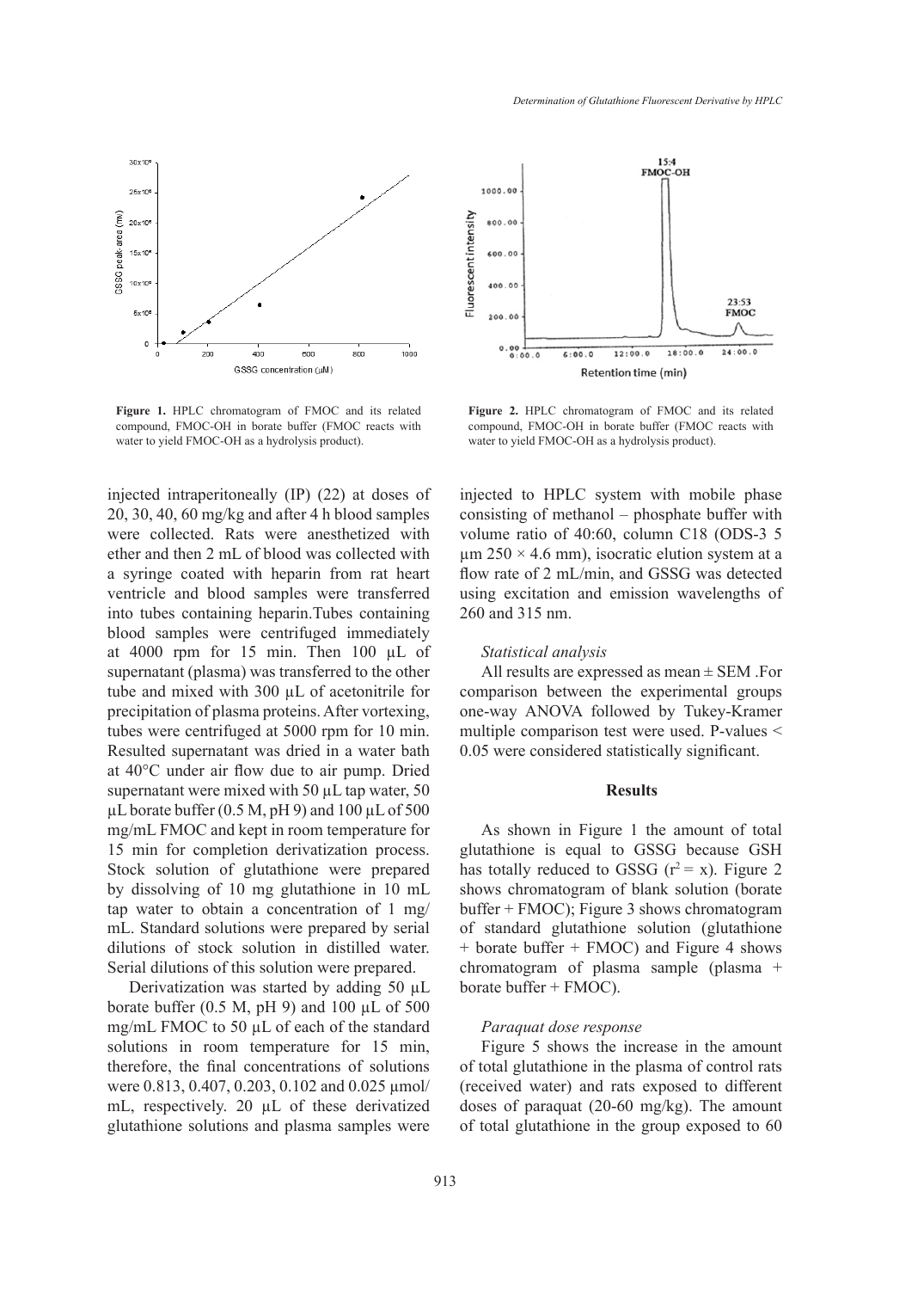

**Figure 1.** HPLC chromatogram of FMOC and its related compound, FMOC-OH in borate buffer (FMOC reacts with water to yield FMOC-OH as a hydrolysis product).

injected intraperitoneally (IP) (22) at doses of 20, 30, 40, 60 mg/kg and after 4 h blood samples were collected. Rats were anesthetized with ether and then 2 mL of blood was collected with a syringe coated with heparin from rat heart ventricle and blood samples were transferred into tubes containing heparin.Tubes containing blood samples were centrifuged immediately at 4000 rpm for 15 min. Then 100 µL of supernatant (plasma) was transferred to the other tube and mixed with 300 µL of acetonitrile for precipitation of plasma proteins. After vortexing, tubes were centrifuged at 5000 rpm for 10 min. Resulted supernatant was dried in a water bath at 40°C under air flow due to air pump. Dried supernatant were mixed with 50  $\mu$ L tap water, 50  $\mu$ L borate buffer (0.5 M, pH 9) and 100  $\mu$ L of 500 mg/mL FMOC and kept in room temperature for 15 min for completion derivatization process. Stock solution of glutathione were prepared by dissolving of 10 mg glutathione in 10 mL tap water to obtain a concentration of 1 mg/ mL. Standard solutions were prepared by serial dilutions of stock solution in distilled water. Serial dilutions of this solution were prepared.

Derivatization was started by adding 50 µL borate buffer (0.5 M, pH 9) and 100  $\mu$ L of 500 mg/mL FMOC to 50 µL of each of the standard solutions in room temperature for 15 min, therefore, the final concentrations of solutions were 0.813, 0.407, 0.203, 0.102 and 0.025 µmol/ mL, respectively. 20 µL of these derivatized glutathione solutions and plasma samples were



**Figure 2.** HPLC chromatogram of FMOC and its related compound, FMOC-OH in borate buffer (FMOC reacts with water to yield FMOC-OH as a hydrolysis product).

injected to HPLC system with mobile phase consisting of methanol – phosphate buffer with volume ratio of 40:60, column C18 (ODS-3 5  $\mu$ m 250 × 4.6 mm), isocratic elution system at a flow rate of 2 mL/min, and GSSG was detected using excitation and emission wavelengths of 260 and 315 nm.

# *Statistical analysis*

All results are expressed as mean ± SEM .For comparison between the experimental groups one-way ANOVA followed by Tukey-Kramer multiple comparison test were used. P-values < 0.05 were considered statistically significant.

# **Results**

As shown in Figure 1 the amount of total glutathione is equal to GSSG because GSH has totally reduced to GSSG  $(r^2 = x)$ . Figure 2 shows chromatogram of blank solution (borate buffer + FMOC); Figure 3 shows chromatogram of standard glutathione solution (glutathione + borate buffer + FMOC) and Figure 4 shows chromatogram of plasma sample (plasma + borate buffer + FMOC).

# *Paraquat dose response*

Figure 5 shows the increase in the amount of total glutathione in the plasma of control rats (received water) and rats exposed to different doses of paraquat (20-60 mg/kg). The amount of total glutathione in the group exposed to 60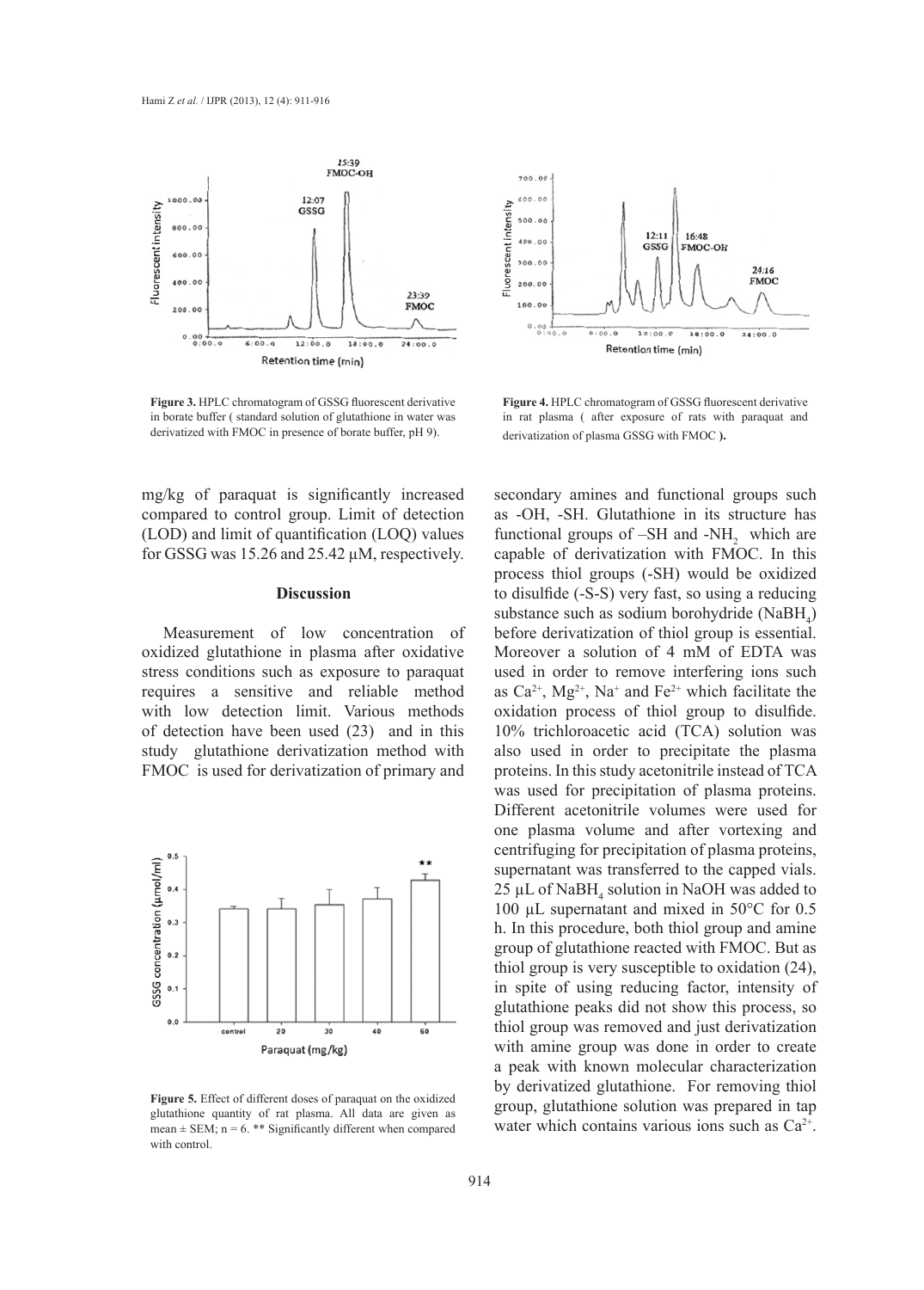

**Figure 3.** HPLC chromatogram of GSSG fluorescent derivative in borate buffer ( standard solution of glutathione in water was derivatized with FMOC in presence of borate buffer, pH 9).



 $12 - 11$ 

GSSC

 $16 - 49$ 

FMOC-OH

700.00

600.0

**Figure 4.** HPLC chromatogram of GSSG fluorescent derivative in rat plasma ( after exposure of rats with paraquat and derivatization of plasma GSSG with FMOC **).**

mg/kg of paraquat is significantly increased compared to control group. Limit of detection (LOD) and limit of quantification (LOQ) values for GSSG was 15.26 and 25.42 µM, respectively.

#### **Discussion**

Measurement of low concentration of oxidized glutathione in plasma after oxidative stress conditions such as exposure to paraquat requires a sensitive and reliable method with low detection limit. Various methods of detection have been used (23) and in this study glutathione derivatization method with FMOC is used for derivatization of primary and



**Figure 5.** Effect of different doses of paraquat on the oxidized glutathione quantity of rat plasma. All data are given as mean  $\pm$  SEM; n = 6. \*\* Significantly different when compared with control.

secondary amines and functional groups such as -OH, -SH. Glutathione in its structure has functional groups of  $-SH$  and  $-NH<sub>2</sub>$  which are capable of derivatization with FMOC. In this process thiol groups (-SH) would be oxidized to disulfide (-S-S) very fast, so using a reducing substance such as sodium borohydride  $(NaBH<sub>4</sub>)$ before derivatization of thiol group is essential. Moreover a solution of 4 mM of EDTA was used in order to remove interfering ions such as  $Ca^{2+}$ ,  $Mg^{2+}$ , Na<sup>+</sup> and Fe<sup>2+</sup> which facilitate the oxidation process of thiol group to disulfide. 10% trichloroacetic acid (TCA) solution was also used in order to precipitate the plasma proteins. In this study acetonitrile instead of TCA was used for precipitation of plasma proteins. Different acetonitrile volumes were used for one plasma volume and after vortexing and centrifuging for precipitation of plasma proteins, supernatant was transferred to the capped vials.  $25 \mu L$  of NaBH<sub>4</sub> solution in NaOH was added to 100 µL supernatant and mixed in 50°C for 0.5 h. In this procedure, both thiol group and amine group of glutathione reacted with FMOC. But as thiol group is very susceptible to oxidation (24), in spite of using reducing factor, intensity of glutathione peaks did not show this process, so thiol group was removed and just derivatization with amine group was done in order to create a peak with known molecular characterization by derivatized glutathione. For removing thiol group, glutathione solution was prepared in tap water which contains various ions such as  $Ca^{2+}$ .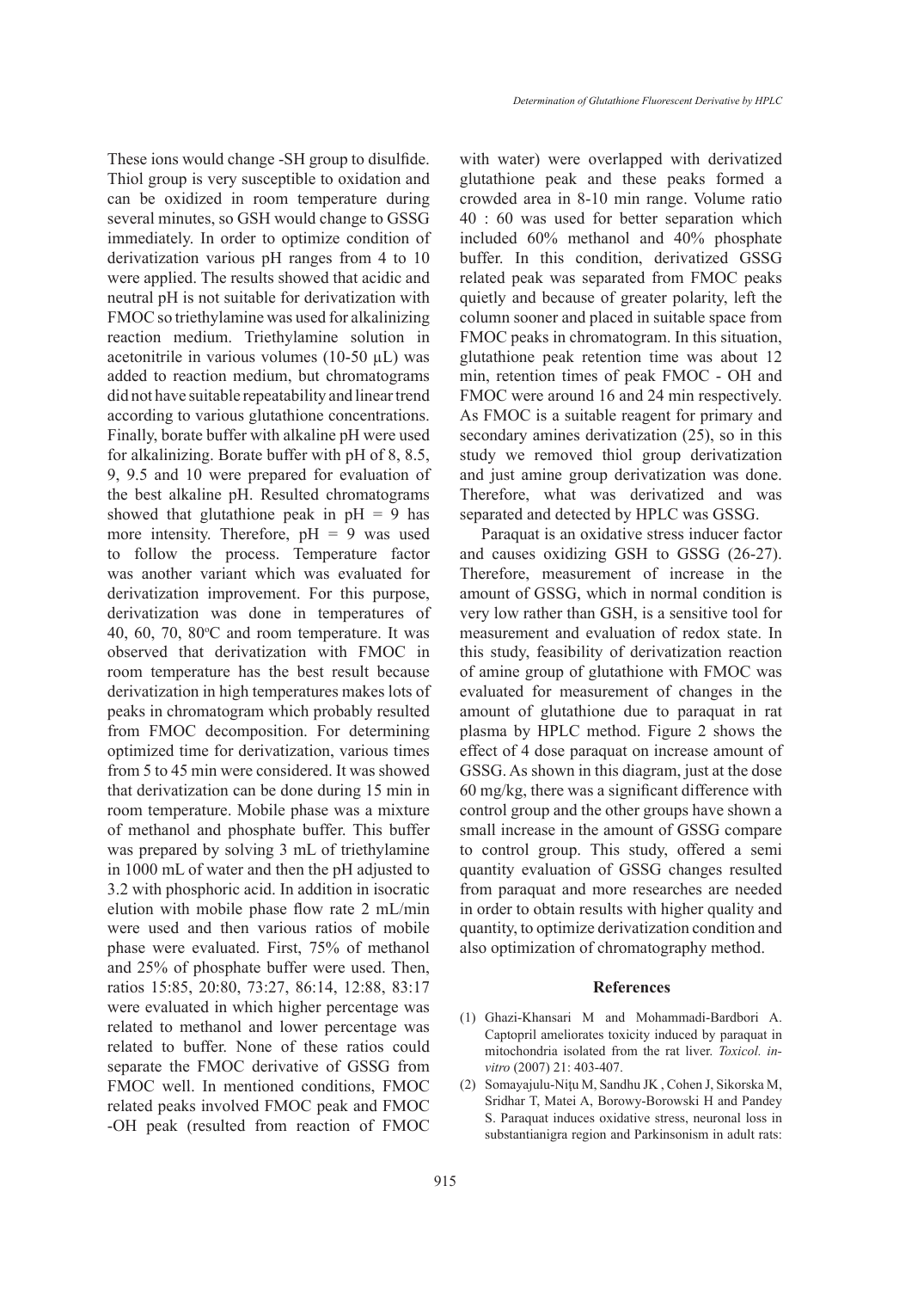These ions would change -SH group to disulfide. Thiol group is very susceptible to oxidation and can be oxidized in room temperature during several minutes, so GSH would change to GSSG immediately. In order to optimize condition of derivatization various pH ranges from 4 to 10 were applied. The results showed that acidic and neutral pH is not suitable for derivatization with FMOC so triethylamine was used for alkalinizing reaction medium. Triethylamine solution in acetonitrile in various volumes (10-50 µL) was added to reaction medium, but chromatograms did not have suitable repeatability and linear trend according to various glutathione concentrations. Finally, borate buffer with alkaline pH were used for alkalinizing. Borate buffer with pH of 8, 8.5, 9, 9.5 and 10 were prepared for evaluation of the best alkaline pH. Resulted chromatograms showed that glutathione peak in  $pH = 9$  has more intensity. Therefore,  $pH = 9$  was used to follow the process. Temperature factor was another variant which was evaluated for derivatization improvement. For this purpose, derivatization was done in temperatures of  $40, 60, 70, 80$ °C and room temperature. It was observed that derivatization with FMOC in room temperature has the best result because derivatization in high temperatures makes lots of peaks in chromatogram which probably resulted from FMOC decomposition. For determining optimized time for derivatization, various times from 5 to 45 min were considered. It was showed that derivatization can be done during 15 min in room temperature. Mobile phase was a mixture of methanol and phosphate buffer. This buffer was prepared by solving 3 mL of triethylamine in 1000 mL of water and then the pH adjusted to 3.2 with phosphoric acid. In addition in isocratic elution with mobile phase flow rate 2 mL/min were used and then various ratios of mobile phase were evaluated. First, 75% of methanol and 25% of phosphate buffer were used. Then, ratios 15:85, 20:80, 73:27, 86:14, 12:88, 83:17

were evaluated in which higher percentage was related to methanol and lower percentage was related to buffer. None of these ratios could separate the FMOC derivative of GSSG from FMOC well. In mentioned conditions, FMOC related peaks involved FMOC peak and FMOC -OH peak (resulted from reaction of FMOC with water) were overlapped with derivatized glutathione peak and these peaks formed a crowded area in 8-10 min range. Volume ratio 40 : 60 was used for better separation which included 60% methanol and 40% phosphate buffer. In this condition, derivatized GSSG related peak was separated from FMOC peaks quietly and because of greater polarity, left the column sooner and placed in suitable space from FMOC peaks in chromatogram. In this situation, glutathione peak retention time was about 12 min, retention times of peak FMOC - OH and FMOC were around 16 and 24 min respectively. As FMOC is a suitable reagent for primary and secondary amines derivatization (25), so in this study we removed thiol group derivatization and just amine group derivatization was done. Therefore, what was derivatized and was separated and detected by HPLC was GSSG.

Paraquat is an oxidative stress inducer factor and causes oxidizing GSH to GSSG (26-27). Therefore, measurement of increase in the amount of GSSG, which in normal condition is very low rather than GSH, is a sensitive tool for measurement and evaluation of redox state. In this study, feasibility of derivatization reaction of amine group of glutathione with FMOC was evaluated for measurement of changes in the amount of glutathione due to paraquat in rat plasma by HPLC method. Figure 2 shows the effect of 4 dose paraquat on increase amount of GSSG. As shown in this diagram, just at the dose 60 mg/kg, there was a significant difference with control group and the other groups have shown a small increase in the amount of GSSG compare to control group. This study, offered a semi quantity evaluation of GSSG changes resulted from paraquat and more researches are needed in order to obtain results with higher quality and quantity, to optimize derivatization condition and also optimization of chromatography method.

#### **References**

- Ghazi-Khansari M and Mohammadi-Bardbori A. (1) Captopril ameliorates toxicity induced by paraquat in mitochondria isolated from the rat liver. *Toxicol. invitro* (2007) 21: 403-407.
- Somayajulu-Niţu M, Sandhu JK , Cohen J, Sikorska M, Sridhar T, Matei A, Borowy-Borowski H and Pandey S. Paraquat induces oxidative stress, neuronal loss in substantianigra region and Parkinsonism in adult rats: (2)